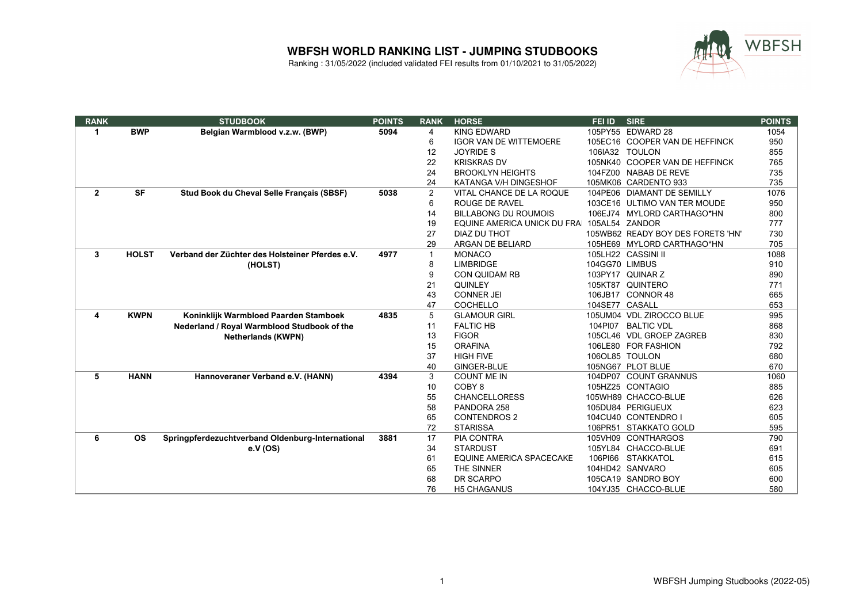

| <b>RANK</b>  |              | <b>STUDBOOK</b>                                  | <b>POINTS</b> | <b>RANK</b>    | <b>HORSE</b>                                | FEI ID         | <b>SIRE</b>                       | <b>POINTS</b> |
|--------------|--------------|--------------------------------------------------|---------------|----------------|---------------------------------------------|----------------|-----------------------------------|---------------|
| 1            | <b>BWP</b>   | Belgian Warmblood v.z.w. (BWP)                   | 5094          | 4              | <b>KING EDWARD</b>                          |                | 105PY55 EDWARD 28                 | 1054          |
|              |              |                                                  |               | 6              | <b>IGOR VAN DE WITTEMOERE</b>               |                | 105EC16 COOPER VAN DE HEFFINCK    | 950           |
|              |              |                                                  |               | 12             | <b>JOYRIDE S</b>                            |                | 106IA32 TOULON                    | 855           |
|              |              |                                                  |               | 22             | <b>KRISKRAS DV</b>                          |                | 105NK40 COOPER VAN DE HEFFINCK    | 765           |
|              |              |                                                  |               | 24             | <b>BROOKLYN HEIGHTS</b>                     |                | 104FZ00 NABAB DE REVE             | 735           |
|              |              |                                                  |               | 24             | KATANGA V/H DINGESHOF                       |                | 105MK06 CARDENTO 933              | 735           |
| $\mathbf{2}$ | <b>SF</b>    | Stud Book du Cheval Selle Français (SBSF)        | 5038          | $\overline{2}$ | VITAL CHANCE DE LA ROQUE                    |                | 104PE06 DIAMANT DE SEMILLY        | 1076          |
|              |              |                                                  |               | 6              | <b>ROUGE DE RAVEL</b>                       |                | 103CE16 ULTIMO VAN TER MOUDE      | 950           |
|              |              |                                                  |               | 14             | <b>BILLABONG DU ROUMOIS</b>                 |                | 106EJ74 MYLORD CARTHAGO*HN        | 800           |
|              |              |                                                  |               | 19             | EQUINE AMERICA UNICK DU FRAI 105AL54 ZANDOR |                |                                   | 777           |
|              |              |                                                  |               | 27             | DIAZ DU THOT                                |                | 105WB62 READY BOY DES FORETS 'HN' | 730           |
|              |              |                                                  |               | 29             | ARGAN DE BELIARD                            |                | 105HE69 MYLORD CARTHAGO*HN        | 705           |
| 3            | <b>HOLST</b> | Verband der Züchter des Holsteiner Pferdes e.V.  | 4977          | $\mathbf{1}$   | <b>MONACO</b>                               |                | 105LH22 CASSINI II                | 1088          |
|              |              | (HOLST)                                          |               | 8              | <b>LIMBRIDGE</b>                            | 104GG70 LIMBUS |                                   | 910           |
|              |              |                                                  |               | 9              | <b>CON QUIDAM RB</b>                        |                | 103PY17 QUINAR Z                  | 890           |
|              |              |                                                  |               | 21             | <b>QUINLEY</b>                              |                | 105KT87 QUINTERO                  | 771           |
|              |              |                                                  |               | 43             | <b>CONNER JEI</b>                           |                | 106JB17 CONNOR 48                 | 665           |
|              |              |                                                  |               | 47             | <b>COCHELLO</b>                             | 104SE77 CASALL |                                   | 653           |
| 4            | <b>KWPN</b>  | Koninklijk Warmbloed Paarden Stamboek            | 4835          | 5              | <b>GLAMOUR GIRL</b>                         |                | 105UM04 VDL ZIROCCO BLUE          | 995           |
|              |              | Nederland / Royal Warmblood Studbook of the      |               | 11             | <b>FALTIC HB</b>                            | 104PI07        | <b>BALTIC VDL</b>                 | 868           |
|              |              | <b>Netherlands (KWPN)</b>                        |               | 13             | <b>FIGOR</b>                                |                | 105CL46 VDL GROEP ZAGREB          | 830           |
|              |              |                                                  |               | 15             | <b>ORAFINA</b>                              |                | 106LE80 FOR FASHION               | 792           |
|              |              |                                                  |               | 37             | <b>HIGH FIVE</b>                            |                | 106OL85 TOULON                    | 680           |
|              |              |                                                  |               | 40             | GINGER-BLUE                                 |                | 105NG67 PLOT BLUE                 | 670           |
| 5            | <b>HANN</b>  | Hannoveraner Verband e.V. (HANN)                 | 4394          | 3              | <b>COUNT ME IN</b>                          |                | 104DP07 COUNT GRANNUS             | 1060          |
|              |              |                                                  |               | 10             | COBY <sub>8</sub>                           |                | 105HZ25 CONTAGIO                  | 885           |
|              |              |                                                  |               | 55             | <b>CHANCELLORESS</b>                        |                | 105WH89 CHACCO-BLUE               | 626           |
|              |              |                                                  |               | 58             | PANDORA 258                                 |                | 105DU84 PERIGUEUX                 | 623           |
|              |              |                                                  |               | 65             | <b>CONTENDROS 2</b>                         |                | 104CU40 CONTENDRO I               | 605           |
|              |              |                                                  |               | 72             | <b>STARISSA</b>                             |                | 106PR51 STAKKATO GOLD             | 595           |
| 6            | <b>OS</b>    | Springpferdezuchtverband Oldenburg-International | 3881          | 17             | <b>PIA CONTRA</b>                           |                | 105VH09 CONTHARGOS                | 790           |
|              |              | e.V (OS)                                         |               | 34             | <b>STARDUST</b>                             |                | 105YL84 CHACCO-BLUE               | 691           |
|              |              |                                                  |               | 61             | <b>EQUINE AMERICA SPACECAKE</b>             |                | 106PI66 STAKKATOL                 | 615           |
|              |              |                                                  |               | 65             | THE SINNER                                  |                | 104HD42 SANVARO                   | 605           |
|              |              |                                                  |               | 68             | DR SCARPO                                   |                | 105CA19 SANDRO BOY                | 600           |
|              |              |                                                  |               | 76             | <b>H5 CHAGANUS</b>                          |                | 104YJ35 CHACCO-BLUE               | 580           |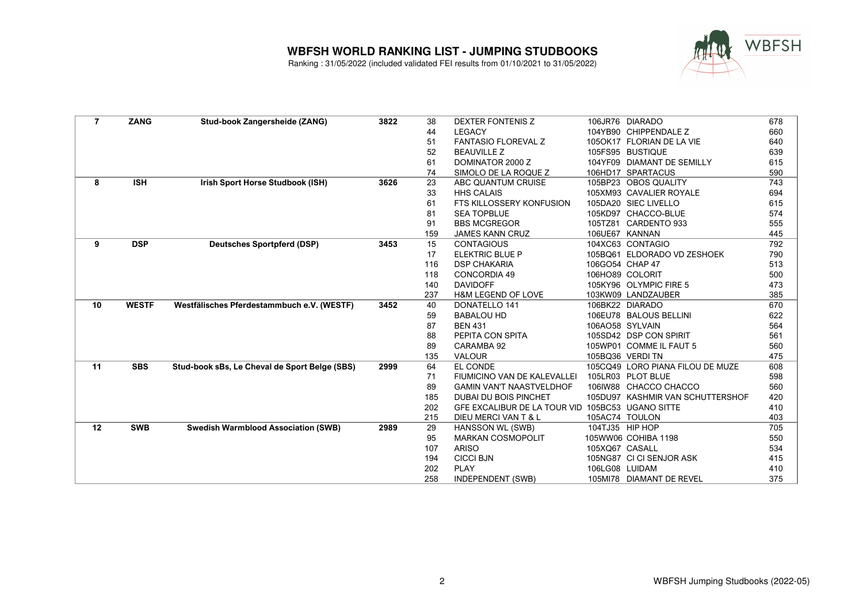

| $\overline{7}$ | <b>ZANG</b>  | Stud-book Zangersheide (ZANG)                 | 3822 | 38  | DEXTER FONTENIS Z                                |                 | 106JR76 DIARADO                  | 678 |
|----------------|--------------|-----------------------------------------------|------|-----|--------------------------------------------------|-----------------|----------------------------------|-----|
|                |              |                                               |      | 44  | <b>LEGACY</b>                                    |                 | 104YB90 CHIPPENDALE Z            | 660 |
|                |              |                                               |      | 51  | <b>FANTASIO FLOREVAL Z</b>                       |                 | 105OK17 FLORIAN DE LA VIE        | 640 |
|                |              |                                               |      | 52  | <b>BEAUVILLE Z</b>                               |                 | 105FS95 BUSTIQUE                 | 639 |
|                |              |                                               |      | 61  | DOMINATOR 2000 Z                                 |                 | 104YF09 DIAMANT DE SEMILLY       | 615 |
|                |              |                                               |      | 74  | SIMOLO DE LA ROQUE Z                             |                 | 106HD17 SPARTACUS                | 590 |
| 8              | <b>ISH</b>   | Irish Sport Horse Studbook (ISH)              | 3626 | 23  | ABC QUANTUM CRUISE                               |                 | 105BP23 OBOS QUALITY             | 743 |
|                |              |                                               |      | 33  | <b>HHS CALAIS</b>                                |                 | 105XM93 CAVALIER ROYALE          | 694 |
|                |              |                                               |      | 61  | FTS KILLOSSERY KONFUSION                         |                 | 105DA20 SIEC LIVELLO             | 615 |
|                |              |                                               |      | 81  | <b>SEA TOPBLUE</b>                               |                 | 105KD97 CHACCO-BLUE              | 574 |
|                |              |                                               |      | 91  | <b>BBS MCGREGOR</b>                              |                 | 105TZ81 CARDENTO 933             | 555 |
|                |              |                                               |      | 159 | <b>JAMES KANN CRUZ</b>                           |                 | 106UE67 KANNAN                   | 445 |
| 9              | <b>DSP</b>   | <b>Deutsches Sportpferd (DSP)</b>             | 3453 | 15  | <b>CONTAGIOUS</b>                                |                 | 104XC63 CONTAGIO                 | 792 |
|                |              |                                               |      | 17  | <b>ELEKTRIC BLUE P</b>                           |                 | 105BQ61 ELDORADO VD ZESHOEK      | 790 |
|                |              |                                               |      | 116 | <b>DSP CHAKARIA</b>                              | 106GO54 CHAP 47 |                                  | 513 |
|                |              |                                               |      | 118 | <b>CONCORDIA 49</b>                              |                 | 106HO89 COLORIT                  | 500 |
|                |              |                                               |      | 140 | <b>DAVIDOFF</b>                                  |                 | 105KY96 OLYMPIC FIRE 5           | 473 |
|                |              |                                               |      | 237 | <b>H&amp;M LEGEND OF LOVE</b>                    |                 | 103KW09 LANDZAUBER               | 385 |
| 10             | <b>WESTF</b> | Westfälisches Pferdestammbuch e.V. (WESTF)    | 3452 | 40  | <b>DONATELLO 141</b>                             |                 | 106BK22 DIARADO                  | 670 |
|                |              |                                               |      | 59  | <b>BABALOU HD</b>                                |                 | 106EU78 BALOUS BELLINI           | 622 |
|                |              |                                               |      | 87  | <b>BEN 431</b>                                   |                 | 106AO58 SYLVAIN                  | 564 |
|                |              |                                               |      | 88  | PEPITA CON SPITA                                 |                 | 105SD42 DSP CON SPIRIT           | 561 |
|                |              |                                               |      | 89  | CARAMBA 92                                       |                 | 105WP01 COMME IL FAUT 5          | 560 |
|                |              |                                               |      | 135 | <b>VALOUR</b>                                    |                 | 105BQ36 VERDI TN                 | 475 |
| 11             | <b>SBS</b>   | Stud-book sBs, Le Cheval de Sport Belge (SBS) | 2999 | 64  | EL CONDE                                         |                 | 105CQ49 LORO PIANA FILOU DE MUZE | 608 |
|                |              |                                               |      | 71  | FIUMICINO VAN DE KALEVALLEI                      |                 | 105LR03 PLOT BLUE                | 598 |
|                |              |                                               |      | 89  | <b>GAMIN VAN'T NAASTVELDHOF</b>                  |                 | 106IW88 CHACCO CHACCO            | 560 |
|                |              |                                               |      | 185 | <b>DUBAI DU BOIS PINCHET</b>                     |                 | 105DU97 KASHMIR VAN SCHUTTERSHOF | 420 |
|                |              |                                               |      | 202 | GFE EXCALIBUR DE LA TOUR VID 105BC53 UGANO SITTE |                 |                                  | 410 |
|                |              |                                               |      | 215 | DIEU MERCI VAN T & L                             | 105AC74 TOULON  |                                  | 403 |
| 12             | <b>SWB</b>   | <b>Swedish Warmblood Association (SWB)</b>    | 2989 | 29  | HANSSON WL (SWB)                                 | 104TJ35 HIP HOP |                                  | 705 |
|                |              |                                               |      | 95  | <b>MARKAN COSMOPOLIT</b>                         |                 | 105WW06 COHIBA 1198              | 550 |
|                |              |                                               |      | 107 | <b>ARISO</b>                                     | 105XQ67 CASALL  |                                  | 534 |
|                |              |                                               |      | 194 | <b>CICCI BJN</b>                                 |                 | 105NG87 CI CI SENJOR ASK         | 415 |
|                |              |                                               |      | 202 | <b>PLAY</b>                                      | 106LG08 LUIDAM  |                                  | 410 |
|                |              |                                               |      | 258 | <b>INDEPENDENT (SWB)</b>                         |                 | 105MI78 DIAMANT DE REVEL         | 375 |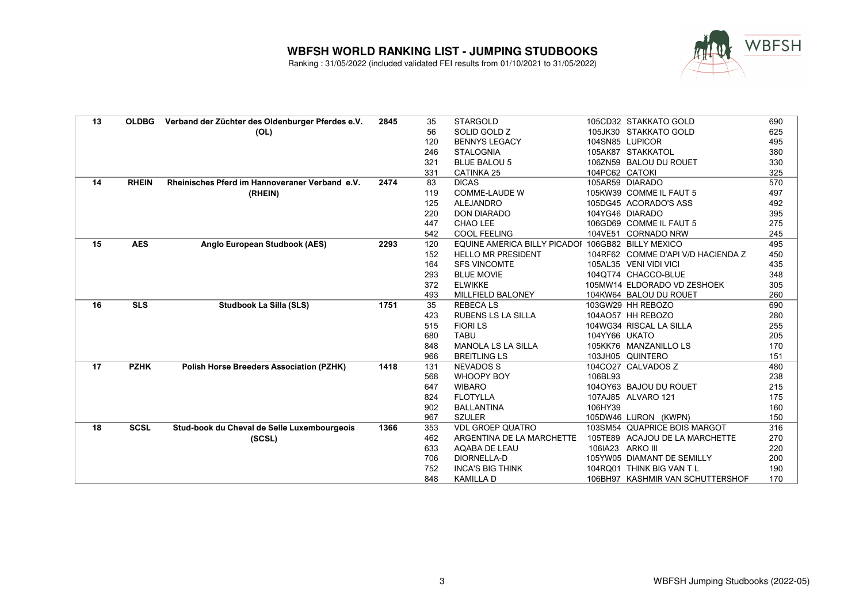

| 13 | <b>OLDBG</b> | Verband der Züchter des Oldenburger Pferdes e.V. | 2845 | 35  | <b>STARGOLD</b>                                   |                  | 105CD32 STAKKATO GOLD              | 690 |
|----|--------------|--------------------------------------------------|------|-----|---------------------------------------------------|------------------|------------------------------------|-----|
|    |              | (OL)                                             |      | 56  | SOLID GOLD Z                                      |                  | 105JK30 STAKKATO GOLD              | 625 |
|    |              |                                                  |      | 120 | <b>BENNYS LEGACY</b>                              |                  | 104SN85 LUPICOR                    | 495 |
|    |              |                                                  |      | 246 | <b>STALOGNIA</b>                                  |                  | 105AK87 STAKKATOL                  | 380 |
|    |              |                                                  |      | 321 | <b>BLUE BALOU 5</b>                               |                  | 106ZN59 BALOU DU ROUET             | 330 |
|    |              |                                                  |      | 331 | <b>CATINKA 25</b>                                 | 104PC62 CATOKI   |                                    | 325 |
| 14 | <b>RHEIN</b> | Rheinisches Pferd im Hannoveraner Verband e.V.   | 2474 | 83  | <b>DICAS</b>                                      |                  | 105AR59 DIARADO                    | 570 |
|    |              | (RHEIN)                                          |      | 119 | <b>COMME-LAUDE W</b>                              |                  | 105KW39 COMME IL FAUT 5            | 497 |
|    |              |                                                  |      | 125 | <b>ALEJANDRO</b>                                  |                  | 105DG45 ACORADO'S ASS              | 492 |
|    |              |                                                  |      | 220 | <b>DON DIARADO</b>                                |                  | 104YG46 DIARADO                    | 395 |
|    |              |                                                  |      | 447 | CHAO LEE                                          |                  | 106GD69 COMME IL FAUT 5            | 275 |
|    |              |                                                  |      | 542 | <b>COOL FEELING</b>                               |                  | 104VE51 CORNADO NRW                | 245 |
| 15 | <b>AES</b>   | Anglo European Studbook (AES)                    | 2293 | 120 | EQUINE AMERICA BILLY PICADOI 106GB82 BILLY MEXICO |                  |                                    | 495 |
|    |              |                                                  |      | 152 | <b>HELLO MR PRESIDENT</b>                         |                  | 104RF62 COMME D'API V/D HACIENDA Z | 450 |
|    |              |                                                  |      | 164 | <b>SFS VINCOMTE</b>                               |                  | 105AL35 VENI VIDI VICI             | 435 |
|    |              |                                                  |      | 293 | <b>BLUE MOVIE</b>                                 |                  | 104QT74 CHACCO-BLUE                | 348 |
|    |              |                                                  |      | 372 | <b>ELWIKKE</b>                                    |                  | 105MW14 ELDORADO VD ZESHOEK        | 305 |
|    |              |                                                  |      | 493 | <b>MILLFIELD BALONEY</b>                          |                  | 104KW64 BALOU DU ROUET             | 260 |
| 16 | <b>SLS</b>   | <b>Studbook La Silla (SLS)</b>                   | 1751 | 35  | <b>REBECALS</b>                                   |                  | 103GW29 HH REBOZO                  | 690 |
|    |              |                                                  |      | 423 | RUBENS LS LA SILLA                                |                  | 104AO57 HH REBOZO                  | 280 |
|    |              |                                                  |      | 515 | <b>FIORILS</b>                                    |                  | 104WG34 RISCAL LA SILLA            | 255 |
|    |              |                                                  |      | 680 | <b>TABU</b>                                       | 104YY66 UKATO    |                                    | 205 |
|    |              |                                                  |      | 848 | <b>MANOLA LS LA SILLA</b>                         |                  | 105KK76 MANZANILLO LS              | 170 |
|    |              |                                                  |      | 966 | <b>BREITLING LS</b>                               |                  | 103JH05 QUINTERO                   | 151 |
| 17 | <b>PZHK</b>  | <b>Polish Horse Breeders Association (PZHK)</b>  | 1418 | 131 | <b>NEVADOS S</b>                                  |                  | 104CO27 CALVADOS Z                 | 480 |
|    |              |                                                  |      | 568 | WHOOPY BOY                                        | 106BL93          |                                    | 238 |
|    |              |                                                  |      | 647 | <b>WIBARO</b>                                     |                  | 104OY63 BAJOU DU ROUET             | 215 |
|    |              |                                                  |      | 824 | <b>FLOTYLLA</b>                                   |                  | 107AJ85 ALVARO 121                 | 175 |
|    |              |                                                  |      | 902 | <b>BALLANTINA</b>                                 | 106HY39          |                                    | 160 |
|    |              |                                                  |      | 967 | <b>SZULER</b>                                     |                  | 105DW46 LURON (KWPN)               | 150 |
| 18 | <b>SCSL</b>  | Stud-book du Cheval de Selle Luxembourgeois      | 1366 | 353 | <b>VDL GROEP QUATRO</b>                           |                  | 103SM54 QUAPRICE BOIS MARGOT       | 316 |
|    |              | (SCSL)                                           |      | 462 | ARGENTINA DE LA MARCHETTE                         |                  | 105TE89 ACAJOU DE LA MARCHETTE     | 270 |
|    |              |                                                  |      | 633 | AQABA DE LEAU                                     | 106IA23 ARKO III |                                    | 220 |
|    |              |                                                  |      | 706 | DIORNELLA-D                                       |                  | 105YW05 DIAMANT DE SEMILLY         | 200 |
|    |              |                                                  |      | 752 | <b>INCA'S BIG THINK</b>                           |                  | 104RQ01 THINK BIG VAN TL           | 190 |
|    |              |                                                  |      | 848 | <b>KAMILLA D</b>                                  |                  | 106BH97 KASHMIR VAN SCHUTTERSHOF   | 170 |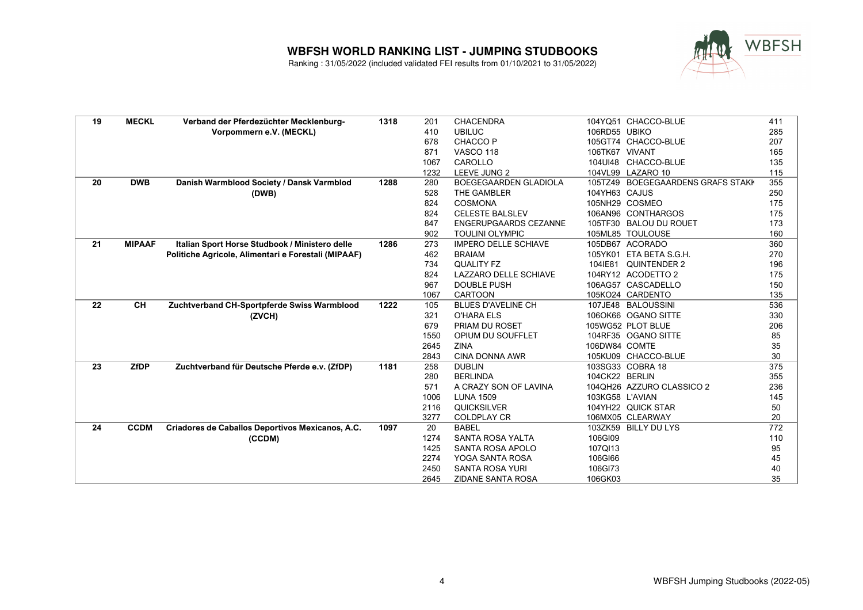

| 19 | <b>MECKL</b>  | Verband der Pferdezüchter Mecklenburg-              | 1318 | 201  | <b>CHACENDRA</b>             |                 | 104YQ51 CHACCO-BLUE               | 411 |
|----|---------------|-----------------------------------------------------|------|------|------------------------------|-----------------|-----------------------------------|-----|
|    |               | Vorpommern e.V. (MECKL)                             |      | 410  | <b>UBILUC</b>                | 106RD55 UBIKO   |                                   | 285 |
|    |               |                                                     |      | 678  | CHACCO <sub>P</sub>          |                 | 105GT74 CHACCO-BLUE               | 207 |
|    |               |                                                     |      | 871  | <b>VASCO 118</b>             | 106TK67 VIVANT  |                                   | 165 |
|    |               |                                                     |      | 1067 | CAROLLO                      |                 | 104UI48 CHACCO-BLUE               | 135 |
|    |               |                                                     |      | 1232 | LEEVE JUNG 2                 |                 | 104VL99 LAZARO 10                 | 115 |
| 20 | <b>DWB</b>    | Danish Warmblood Society / Dansk Varmblod           | 1288 | 280  | <b>BOEGEGAARDEN GLADIOLA</b> |                 | 105TZ49 BOEGEGAARDENS GRAFS STAKK | 355 |
|    |               | (DWB)                                               |      | 528  | THE GAMBLER                  | 104YH63 CAJUS   |                                   | 250 |
|    |               |                                                     |      | 824  | COSMONA                      |                 | 105NH29 COSMEO                    | 175 |
|    |               |                                                     |      | 824  | <b>CELESTE BALSLEV</b>       |                 | 106AN96 CONTHARGOS                | 175 |
|    |               |                                                     |      | 847  | <b>ENGERUPGAARDS CEZANNE</b> |                 | 105TF30 BALOU DU ROUET            | 173 |
|    |               |                                                     |      | 902  | <b>TOULINI OLYMPIC</b>       |                 | 105ML85 TOULOUSE                  | 160 |
| 21 | <b>MIPAAF</b> | Italian Sport Horse Studbook / Ministero delle      | 1286 | 273  | <b>IMPERO DELLE SCHIAVE</b>  |                 | 105DB67 ACORADO                   | 360 |
|    |               | Politiche Agricole, Alimentari e Forestali (MIPAAF) |      | 462  | <b>BRAIAM</b>                |                 | 105YK01 ETA BETA S.G.H.           | 270 |
|    |               |                                                     |      | 734  | <b>QUALITY FZ</b>            |                 | 104IE81 QUINTENDER 2              | 196 |
|    |               |                                                     |      | 824  | LAZZARO DELLE SCHIAVE        |                 | 104RY12 ACODETTO 2                | 175 |
|    |               |                                                     |      | 967  | <b>DOUBLE PUSH</b>           |                 | 106AG57 CASCADELLO                | 150 |
|    |               |                                                     |      | 1067 | <b>CARTOON</b>               |                 | 105KO24 CARDENTO                  | 135 |
| 22 | <b>CH</b>     | Zuchtverband CH-Sportpferde Swiss Warmblood         | 1222 | 105  | <b>BLUES D'AVELINE CH</b>    |                 | 107JE48 BALOUSSINI                | 536 |
|    |               | (ZVCH)                                              |      | 321  | <b>O'HARA ELS</b>            |                 | 106OK66 OGANO SITTE               | 330 |
|    |               |                                                     |      | 679  | <b>PRIAM DU ROSET</b>        |                 | 105WG52 PLOT BLUE                 | 206 |
|    |               |                                                     |      | 1550 | OPIUM DU SOUFFLET            |                 | 104RF35 OGANO SITTE               | 85  |
|    |               |                                                     |      | 2645 | <b>ZINA</b>                  | 106DW84 COMTE   |                                   | 35  |
|    |               |                                                     |      | 2843 | <b>CINA DONNA AWR</b>        |                 | 105KU09 CHACCO-BLUE               | 30  |
| 23 | <b>ZfDP</b>   | Zuchtverband für Deutsche Pferde e.v. (ZfDP)        | 1181 | 258  | <b>DUBLIN</b>                |                 | 103SG33 COBRA 18                  | 375 |
|    |               |                                                     |      | 280  | <b>BERLINDA</b>              | 104CK22 BERLIN  |                                   | 355 |
|    |               |                                                     |      | 571  | A CRAZY SON OF LAVINA        |                 | 104QH26 AZZURO CLASSICO 2         | 236 |
|    |               |                                                     |      | 1006 | <b>LUNA 1509</b>             | 103KG58 L'AVIAN |                                   | 145 |
|    |               |                                                     |      | 2116 | QUICKSILVER                  |                 | 104YH22 QUICK STAR                | 50  |
|    |               |                                                     |      | 3277 | <b>COLDPLAY CR</b>           |                 | 106MX05 CLEARWAY                  | 20  |
| 24 | <b>CCDM</b>   | Criadores de Caballos Deportivos Mexicanos, A.C.    | 1097 | 20   | <b>BABEL</b>                 |                 | 103ZK59 BILLY DU LYS              | 772 |
|    |               | (CCDM)                                              |      | 1274 | SANTA ROSA YALTA             | 106GI09         |                                   | 110 |
|    |               |                                                     |      | 1425 | SANTA ROSA APOLO             | 107QI13         |                                   | 95  |
|    |               |                                                     |      | 2274 | YOGA SANTA ROSA              | 106GI66         |                                   | 45  |
|    |               |                                                     |      | 2450 | <b>SANTA ROSA YURI</b>       | 106GI73         |                                   | 40  |
|    |               |                                                     |      | 2645 | <b>ZIDANE SANTA ROSA</b>     | 106GK03         |                                   | 35  |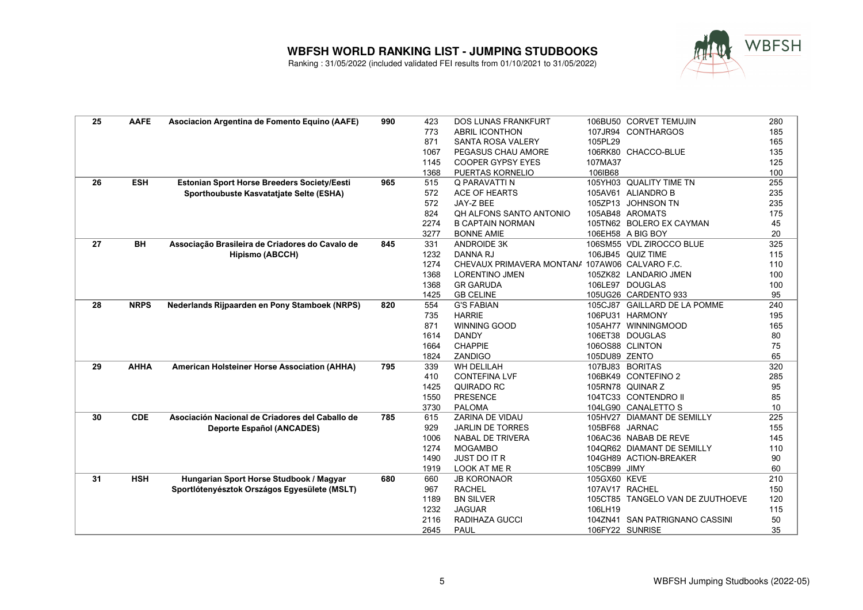

| 25 | <b>AAFE</b> | Asociacion Argentina de Fomento Equino (AAFE)   | 990 | 423          | <b>DOS LUNAS FRANKFURT</b>                     |                | 106BU50 CORVET TEMUJIN                      | 280      |
|----|-------------|-------------------------------------------------|-----|--------------|------------------------------------------------|----------------|---------------------------------------------|----------|
|    |             |                                                 |     | 773          | <b>ABRIL ICONTHON</b>                          |                | 107JR94 CONTHARGOS                          | 185      |
|    |             |                                                 |     | 871          | <b>SANTA ROSA VALERY</b>                       | 105PL29        |                                             | 165      |
|    |             |                                                 |     | 1067         | PEGASUS CHAU AMORE                             |                | 106RK80 CHACCO-BLUE                         | 135      |
|    |             |                                                 |     | 1145         | <b>COOPER GYPSY EYES</b>                       | 107MA37        |                                             | 125      |
|    |             |                                                 |     | 1368         | PUERTAS KORNELIO                               | 106IB68        |                                             | 100      |
| 26 | <b>ESH</b>  | Estonian Sport Horse Breeders Society/Eesti     | 965 | 515          | Q PARAVATTI N                                  |                | 105YH03 QUALITY TIME TN                     | 255      |
|    |             | Sporthoubuste Kasvatatjate Selte (ESHA)         |     | 572          | ACE OF HEARTS                                  |                | 105AV61 ALIANDRO B                          | 235      |
|    |             |                                                 |     | 572          | JAY-Z BEE                                      |                | 105ZP13 JOHNSON TN                          | 235      |
|    |             |                                                 |     | 824          | QH ALFONS SANTO ANTONIO                        |                | 105AB48 AROMATS                             | 175      |
|    |             |                                                 |     | 2274         | <b>B CAPTAIN NORMAN</b>                        |                | 105TN62 BOLERO EX CAYMAN                    | 45       |
|    |             |                                                 |     | 3277         | <b>BONNE AMIE</b>                              |                | 106EH58 A BIG BOY                           | 20       |
| 27 | <b>BH</b>   | Associação Brasileira de Criadores do Cavalo de | 845 | 331          | <b>ANDROIDE 3K</b>                             |                | 106SM55 VDL ZIROCCO BLUE                    | 325      |
|    |             | <b>Hipismo (ABCCH)</b>                          |     | 1232         | <b>DANNA RJ</b>                                |                | 106JB45 QUIZ TIME                           | 115      |
|    |             |                                                 |     | 1274         | CHEVAUX PRIMAVERA MONTANA 107AW06 CALVARO F.C. |                |                                             | 110      |
|    |             |                                                 |     | 1368         | <b>LORENTINO JMEN</b>                          |                | 105ZK82 LANDARIO JMEN                       | 100      |
|    |             |                                                 |     | 1368         | <b>GR GARUDA</b>                               |                | 106LE97 DOUGLAS                             | 100      |
|    |             |                                                 |     | 1425         | <b>GB CELINE</b>                               |                | 105UG26 CARDENTO 933                        | 95       |
| 28 | <b>NRPS</b> | Nederlands Rijpaarden en Pony Stamboek (NRPS)   | 820 | 554          | <b>G'S FABIAN</b>                              |                | 105CJ87 GAILLARD DE LA POMME                | 240      |
|    |             |                                                 |     | 735          | <b>HARRIE</b>                                  |                | 106PU31 HARMONY                             | 195      |
|    |             |                                                 |     | 871          | <b>WINNING GOOD</b>                            |                | 105AH77 WINNINGMOOD                         | 165      |
|    |             |                                                 |     | 1614         | <b>DANDY</b>                                   |                | 106ET38 DOUGLAS                             | 80       |
|    |             |                                                 |     | 1664         | <b>CHAPPIE</b>                                 |                | 106OS88 CLINTON                             | 75       |
|    |             |                                                 |     | 1824         | ZANDIGO                                        | 105DU89 ZENTO  |                                             | 65       |
| 29 | <b>AHHA</b> | American Holsteiner Horse Association (AHHA)    | 795 | 339          | <b>WH DELILAH</b>                              |                | 107BJ83 BORITAS                             | 320      |
|    |             |                                                 |     | 410          | <b>CONTEFINA LVF</b>                           |                | 106BK49 CONTEFINO 2                         | 285      |
|    |             |                                                 |     | 1425         | <b>QUIRADO RC</b><br><b>PRESENCE</b>           |                | 105RN78 QUINAR Z                            | 95       |
|    |             |                                                 |     | 1550<br>3730 |                                                |                | 104TC33 CONTENDRO II<br>104LG90 CANALETTO S | 85<br>10 |
| 30 | <b>CDE</b>  | Asociación Nacional de Criadores del Caballo de | 785 | 615          | <b>PALOMA</b><br>ZARINA DE VIDAU               |                | 105HV27 DIAMANT DE SEMILLY                  | 225      |
|    |             | <b>Deporte Español (ANCADES)</b>                |     | 929          | <b>JARLIN DE TORRES</b>                        | 105BF68 JARNAC |                                             | 155      |
|    |             |                                                 |     | 1006         | <b>NABAL DE TRIVERA</b>                        |                | 106AC36 NABAB DE REVE                       | 145      |
|    |             |                                                 |     | 1274         | <b>MOGAMBO</b>                                 |                | 104QR62 DIAMANT DE SEMILLY                  | 110      |
|    |             |                                                 |     | 1490         | <b>JUST DO IT R</b>                            |                | 104GH89 ACTION-BREAKER                      | 90       |
|    |             |                                                 |     | 1919         | LOOK AT ME R                                   | 105CB99 JIMY   |                                             | 60       |
| 31 | <b>HSH</b>  | Hungarian Sport Horse Studbook / Magyar         | 680 | 660          | <b>JB KORONAOR</b>                             | 105GX60 KEVE   |                                             | 210      |
|    |             | Sportlótenyésztok Országos Egyesülete (MSLT)    |     | 967          | <b>RACHEL</b>                                  | 107AV17 RACHEL |                                             | 150      |
|    |             |                                                 |     | 1189         | <b>BN SILVER</b>                               |                | 105CT85 TANGELO VAN DE ZUUTHOEVE            | 120      |
|    |             |                                                 |     | 1232         | <b>JAGUAR</b>                                  | 106LH19        |                                             | 115      |
|    |             |                                                 |     | 2116         | RADIHAZA GUCCI                                 |                | 104ZN41 SAN PATRIGNANO CASSINI              | 50       |
|    |             |                                                 |     | 2645         | <b>PAUL</b>                                    |                | 106FY22 SUNRISE                             | 35       |
|    |             |                                                 |     |              |                                                |                |                                             |          |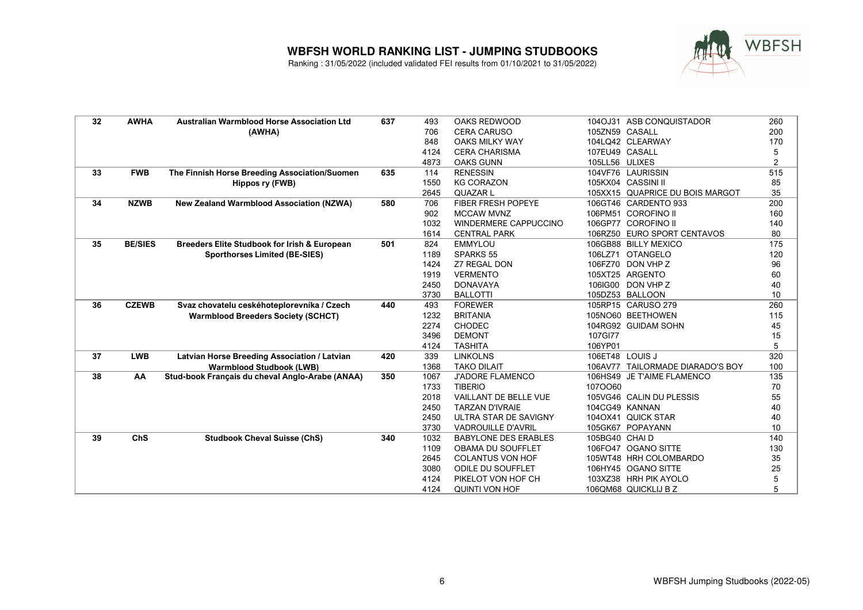

| 32 | <b>AWHA</b>    | <b>Australian Warmblood Horse Association Ltd</b>       | 637 | 493  | OAKS REDWOOD                 |                 | 104OJ31 ASB CONQUISTADOR         | 260            |
|----|----------------|---------------------------------------------------------|-----|------|------------------------------|-----------------|----------------------------------|----------------|
|    |                | (AWHA)                                                  |     | 706  | <b>CERA CARUSO</b>           | 105ZN59 CASALL  |                                  | 200            |
|    |                |                                                         |     | 848  | <b>OAKS MILKY WAY</b>        |                 | 104LQ42 CLEARWAY                 | 170            |
|    |                |                                                         |     | 4124 | <b>CERA CHARISMA</b>         | 107EU49 CASALL  |                                  | 5              |
|    |                |                                                         |     | 4873 | <b>OAKS GUNN</b>             | 105LL56 ULIXES  |                                  | $\overline{2}$ |
| 33 | <b>FWB</b>     | The Finnish Horse Breeding Association/Suomen           | 635 | 114  | <b>RENESSIN</b>              |                 | 104VF76 LAURISSIN                | 515            |
|    |                | Hippos ry (FWB)                                         |     | 1550 | <b>KG CORAZON</b>            |                 | 105KX04 CASSINI II               | 85             |
|    |                |                                                         |     | 2645 | <b>QUAZAR L</b>              |                 | 105XX15 QUAPRICE DU BOIS MARGOT  | 35             |
| 34 | <b>NZWB</b>    | <b>New Zealand Warmblood Association (NZWA)</b>         | 580 | 706  | <b>FIBER FRESH POPEYE</b>    |                 | 106GT46 CARDENTO 933             | 200            |
|    |                |                                                         |     | 902  | <b>MCCAW MVNZ</b>            |                 | 106PM51 COROFINO II              | 160            |
|    |                |                                                         |     | 1032 | <b>WINDERMERE CAPPUCCINO</b> |                 | 106GP77 COROFINO II              | 140            |
|    |                |                                                         |     | 1614 | <b>CENTRAL PARK</b>          |                 | 106RZ50 EURO SPORT CENTAVOS      | 80             |
| 35 | <b>BE/SIES</b> | <b>Breeders Elite Studbook for Irish &amp; European</b> | 501 | 824  | <b>EMMYLOU</b>               |                 | 106GB88 BILLY MEXICO             | 175            |
|    |                | <b>Sporthorses Limited (BE-SIES)</b>                    |     | 1189 | <b>SPARKS 55</b>             |                 | 106LZ71 OTANGELO                 | 120            |
|    |                |                                                         |     | 1424 | <b>Z7 REGAL DON</b>          |                 | 106FZ70 DON VHP Z                | 96             |
|    |                |                                                         |     | 1919 | <b>VERMENTO</b>              |                 | 105XT25 ARGENTO                  | 60             |
|    |                |                                                         |     | 2450 | <b>DONAVAYA</b>              |                 | 106IG00 DON VHP Z                | 40             |
|    |                |                                                         |     | 3730 | <b>BALLOTTI</b>              |                 | 105DZ53 BALLOON                  | 10             |
| 36 | <b>CZEWB</b>   | Svaz chovatelu ceskéhoteplorevníka / Czech              | 440 | 493  | <b>FOREWER</b>               |                 | 105RP15 CARUSO 279               | 260            |
|    |                | <b>Warmblood Breeders Society (SCHCT)</b>               |     | 1232 | <b>BRITANIA</b>              |                 | 105NO60 BEETHOWEN                | 115            |
|    |                |                                                         |     | 2274 | <b>CHODEC</b>                |                 | 104RG92 GUIDAM SOHN              | 45             |
|    |                |                                                         |     | 3496 | <b>DEMONT</b>                | 107GI77         |                                  | 15             |
|    |                |                                                         |     | 4124 | <b>TASHITA</b>               | 106YP01         |                                  | 5              |
| 37 | <b>LWB</b>     | Latvian Horse Breeding Association / Latvian            | 420 | 339  | <b>LINKOLNS</b>              | 106ET48 LOUIS J |                                  | 320            |
|    |                | <b>Warmblood Studbook (LWB)</b>                         |     | 1368 | <b>TAKO DILAIT</b>           |                 | 106AV77 TAILORMADE DIARADO'S BOY | 100            |
| 38 | AA             | Stud-book Français du cheval Anglo-Arabe (ANAA)         | 350 | 1067 | <b>J'ADORE FLAMENCO</b>      |                 | 106HS49 JE T'AIME FLAMENCO       | 135            |
|    |                |                                                         |     | 1733 | <b>TIBERIO</b>               | 1070060         |                                  | 70             |
|    |                |                                                         |     | 2018 | VAILLANT DE BELLE VUE        |                 | 105VG46 CALIN DU PLESSIS         | 55             |
|    |                |                                                         |     | 2450 | <b>TARZAN D'IVRAIE</b>       |                 | 104CG49 KANNAN                   | 40             |
|    |                |                                                         |     | 2450 | ULTRA STAR DE SAVIGNY        |                 | 1040X41 QUICK STAR               | 40             |
|    |                |                                                         |     | 3730 | <b>VADROUILLE D'AVRIL</b>    |                 | 105GK67 POPAYANN                 | 10             |
| 39 | ChS            | <b>Studbook Cheval Suisse (ChS)</b>                     | 340 | 1032 | <b>BABYLONE DES ERABLES</b>  | 105BG40 CHAID   |                                  | 140            |
|    |                |                                                         |     | 1109 | OBAMA DU SOUFFLET            |                 | 106FO47 OGANO SITTE              | 130            |
|    |                |                                                         |     | 2645 | <b>COLANTUS VON HOF</b>      |                 | 105WT48 HRH COLOMBARDO           | 35             |
|    |                |                                                         |     | 3080 | <b>ODILE DU SOUFFLET</b>     |                 | 106HY45 OGANO SITTE              | 25             |
|    |                |                                                         |     | 4124 | PIKELOT VON HOF CH           |                 | 103XZ38 HRH PIK AYOLO            | 5              |
|    |                |                                                         |     | 4124 | <b>QUINTI VON HOF</b>        |                 | 106QM68 QUICKLIJ B Z             | 5              |